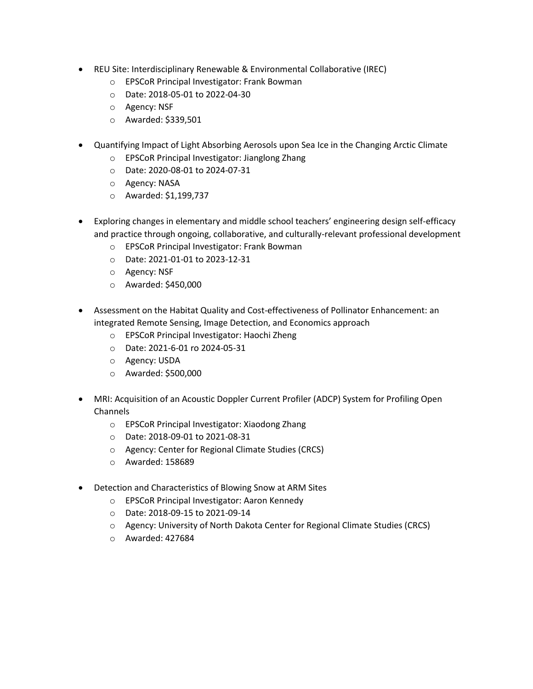- REU Site: Interdisciplinary Renewable & Environmental Collaborative (IREC)
	- o EPSCoR Principal Investigator: Frank Bowman
	- o Date: 2018-05-01 to 2022-04-30
	- o Agency: NSF
	- o Awarded: \$339,501
- Quantifying Impact of Light Absorbing Aerosols upon Sea Ice in the Changing Arctic Climate
	- o EPSCoR Principal Investigator: Jianglong Zhang
	- o Date: 2020-08-01 to 2024-07-31
	- o Agency: NASA
	- o Awarded: \$1,199,737
- Exploring changes in elementary and middle school teachers' engineering design self-efficacy and practice through ongoing, collaborative, and culturally-relevant professional development
	- o EPSCoR Principal Investigator: Frank Bowman
	- o Date: 2021-01-01 to 2023-12-31
	- o Agency: NSF
	- o Awarded: \$450,000
- Assessment on the Habitat Quality and Cost-effectiveness of Pollinator Enhancement: an integrated Remote Sensing, Image Detection, and Economics approach
	- o EPSCoR Principal Investigator: Haochi Zheng
	- o Date: 2021-6-01 ro 2024-05-31
	- o Agency: USDA
	- o Awarded: \$500,000
- MRI: Acquisition of an Acoustic Doppler Current Profiler (ADCP) System for Profiling Open Channels
	- o EPSCoR Principal Investigator: Xiaodong Zhang
	- o Date: 2018-09-01 to 2021-08-31
	- o Agency: Center for Regional Climate Studies (CRCS)
	- o Awarded: 158689
- Detection and Characteristics of Blowing Snow at ARM Sites
	- o EPSCoR Principal Investigator: Aaron Kennedy
	- o Date: 2018-09-15 to 2021-09-14
	- o Agency: University of North Dakota Center for Regional Climate Studies (CRCS)
	- o Awarded: 427684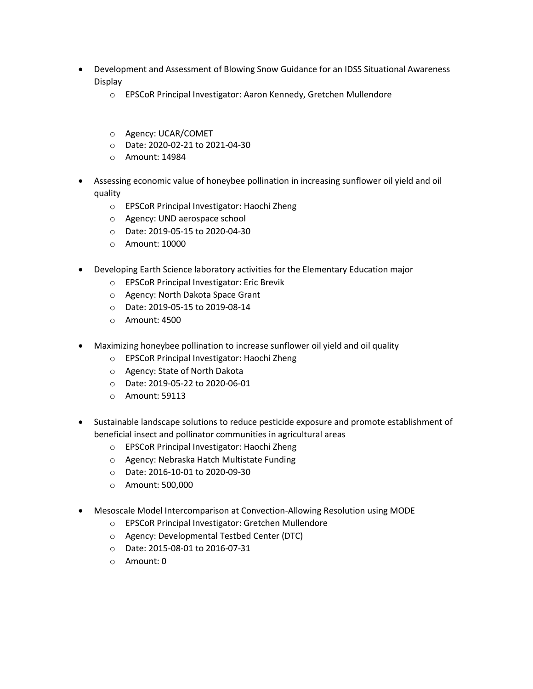- Development and Assessment of Blowing Snow Guidance for an IDSS Situational Awareness Display
	- o EPSCoR Principal Investigator: Aaron Kennedy, Gretchen Mullendore
	- o Agency: UCAR/COMET
	- o Date: 2020-02-21 to 2021-04-30
	- o Amount: 14984
- Assessing economic value of honeybee pollination in increasing sunflower oil yield and oil quality
	- o EPSCoR Principal Investigator: Haochi Zheng
	- o Agency: UND aerospace school
	- o Date: 2019-05-15 to 2020-04-30
	- o Amount: 10000
- Developing Earth Science laboratory activities for the Elementary Education major
	- o EPSCoR Principal Investigator: Eric Brevik
	- o Agency: North Dakota Space Grant
	- o Date: 2019-05-15 to 2019-08-14
	- o Amount: 4500
- Maximizing honeybee pollination to increase sunflower oil yield and oil quality
	- o EPSCoR Principal Investigator: Haochi Zheng
	- o Agency: State of North Dakota
	- o Date: 2019-05-22 to 2020-06-01
	- o Amount: 59113
- Sustainable landscape solutions to reduce pesticide exposure and promote establishment of beneficial insect and pollinator communities in agricultural areas
	- o EPSCoR Principal Investigator: Haochi Zheng
	- o Agency: Nebraska Hatch Multistate Funding
	- o Date: 2016-10-01 to 2020-09-30
	- o Amount: 500,000
- Mesoscale Model Intercomparison at Convection-Allowing Resolution using MODE
	- o EPSCoR Principal Investigator: Gretchen Mullendore
	- o Agency: Developmental Testbed Center (DTC)
	- o Date: 2015-08-01 to 2016-07-31
	- o Amount: 0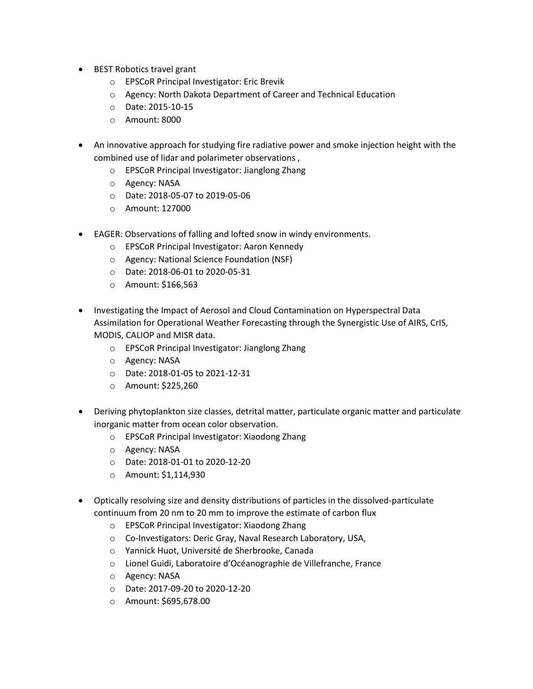- BEST Robotics travel grant
	- o EPSCoR Principal Investigator: Eric Brevik
	- o Agency: North Dakota Department of Career and Technical Education
	- o Date: 2015-10-15
	- o Amount: 8000
- An innovative approach for studying fire radiative power and smoke injection height with the combined use of lidar and polarimeter observations ,
	- o EPSCoR Principal Investigator: Jianglong Zhang
	- o Agency: NASA
	- o Date: 2018-05-07 to 2019-05-06
	- o Amount: 127000
- EAGER: Observations of falling and lofted snow in windy environments.
	- o EPSCoR Principal Investigator: Aaron Kennedy
	- o Agency: National Science Foundation (NSF)
	- o Date: 2018-06-01 to 2020-05-31
	- o Amount: \$166,563
- Investigating the Impact of Aerosol and Cloud Contamination on Hyperspectral Data Assimilation for Operational Weather Forecasting through the Synergistic Use of AIRS, CrIS, MODIS, CALIOP and MISR data.
	- o EPSCoR Principal Investigator: Jianglong Zhang
	- o Agency: NASA
	- o Date: 2018-01-05 to 2021-12-31
	- o Amount: \$225,260
- Deriving phytoplankton size classes, detrital matter, particulate organic matter and particulate inorganic matter from ocean color observation.
	- o EPSCoR Principal Investigator: Xiaodong Zhang
	- o Agency: NASA
	- o Date: 2018-01-01 to 2020-12-20
	- o Amount: \$1,114,930
- Optically resolving size and density distributions of particles in the dissolved-particulate continuum from 20 nm to 20 mm to improve the estimate of carbon flux
	- o EPSCoR Principal Investigator: Xiaodong Zhang
	- o Co-Investigators: Deric Gray, Naval Research Laboratory, USA,
	- o Yannick Huot, Université de Sherbrooke, Canada
	- o Lionel Guidi, Laboratoire d'Océanographie de Villefranche, France
	- o Agency: NASA
	- o Date: 2017-09-20 to 2020-12-20
	- o Amount: \$695,678.00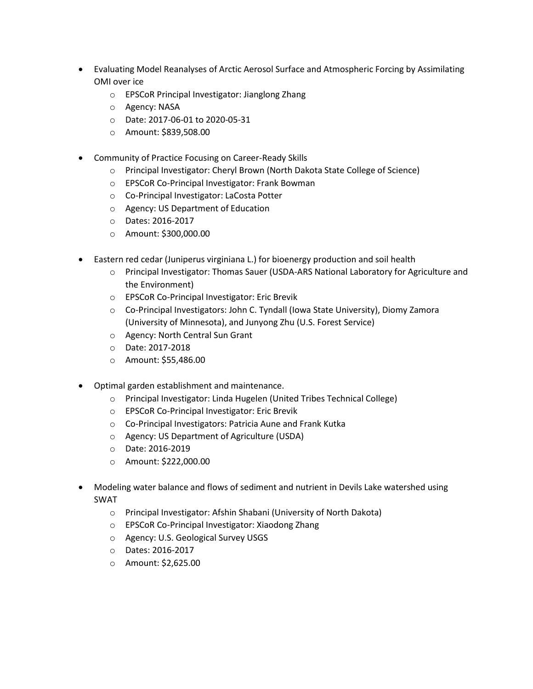- Evaluating Model Reanalyses of Arctic Aerosol Surface and Atmospheric Forcing by Assimilating OMI over ice
	- o EPSCoR Principal Investigator: Jianglong Zhang
	- o Agency: NASA
	- o Date: 2017-06-01 to 2020-05-31
	- o Amount: \$839,508.00
- Community of Practice Focusing on Career-Ready Skills
	- o Principal Investigator: Cheryl Brown (North Dakota State College of Science)
	- o EPSCoR Co-Principal Investigator: Frank Bowman
	- o Co-Principal Investigator: LaCosta Potter
	- o Agency: US Department of Education
	- o Dates: 2016-2017
	- o Amount: \$300,000.00
- Eastern red cedar (Juniperus virginiana L.) for bioenergy production and soil health
	- o Principal Investigator: Thomas Sauer (USDA-ARS National Laboratory for Agriculture and the Environment)
	- o EPSCoR Co-Principal Investigator: Eric Brevik
	- o Co-Principal Investigators: John C. Tyndall (Iowa State University), Diomy Zamora (University of Minnesota), and Junyong Zhu (U.S. Forest Service)
	- o Agency: North Central Sun Grant
	- o Date: 2017-2018
	- o Amount: \$55,486.00
- Optimal garden establishment and maintenance.
	- o Principal Investigator: Linda Hugelen (United Tribes Technical College)
	- o EPSCoR Co-Principal Investigator: Eric Brevik
	- o Co-Principal Investigators: Patricia Aune and Frank Kutka
	- o Agency: US Department of Agriculture (USDA)
	- o Date: 2016-2019
	- o Amount: \$222,000.00
- Modeling water balance and flows of sediment and nutrient in Devils Lake watershed using SWAT
	- o Principal Investigator: Afshin Shabani (University of North Dakota)
	- o EPSCoR Co-Principal Investigator: Xiaodong Zhang
	- o Agency: U.S. Geological Survey USGS
	- o Dates: 2016-2017
	- o Amount: \$2,625.00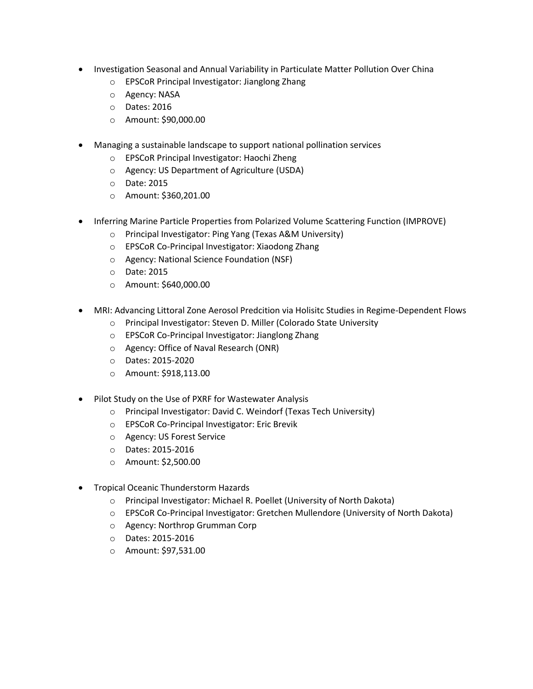- Investigation Seasonal and Annual Variability in Particulate Matter Pollution Over China
	- o EPSCoR Principal Investigator: Jianglong Zhang
	- o Agency: NASA
	- o Dates: 2016
	- o Amount: \$90,000.00
- Managing a sustainable landscape to support national pollination services
	- o EPSCoR Principal Investigator: Haochi Zheng
	- o Agency: US Department of Agriculture (USDA)
	- o Date: 2015
	- o Amount: \$360,201.00
- Inferring Marine Particle Properties from Polarized Volume Scattering Function (IMPROVE)
	- o Principal Investigator: Ping Yang (Texas A&M University)
	- o EPSCoR Co-Principal Investigator: Xiaodong Zhang
	- o Agency: National Science Foundation (NSF)
	- o Date: 2015
	- o Amount: \$640,000.00
- MRI: Advancing Littoral Zone Aerosol Predcition via Holisitc Studies in Regime-Dependent Flows
	- o Principal Investigator: Steven D. Miller (Colorado State University
	- o EPSCoR Co-Principal Investigator: Jianglong Zhang
	- o Agency: Office of Naval Research (ONR)
	- o Dates: 2015-2020
	- o Amount: \$918,113.00
- Pilot Study on the Use of PXRF for Wastewater Analysis
	- o Principal Investigator: David C. Weindorf (Texas Tech University)
	- o EPSCoR Co-Principal Investigator: Eric Brevik
	- o Agency: US Forest Service
	- o Dates: 2015-2016
	- o Amount: \$2,500.00
- Tropical Oceanic Thunderstorm Hazards
	- o Principal Investigator: Michael R. Poellet (University of North Dakota)
	- o EPSCoR Co-Principal Investigator: Gretchen Mullendore (University of North Dakota)
	- o Agency: Northrop Grumman Corp
	- o Dates: 2015-2016
	- o Amount: \$97,531.00